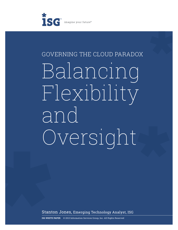

# GOVERNING THE CLOUD PARADOX Balancing Flexibility and Oversight

Stanton Jones, Emerging Technology Analyst, ISG

**ISG WHITE PAPER** © 2013 Information Services Group, Inc. All Rights Reserved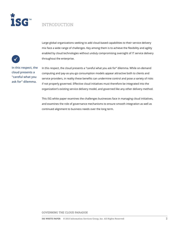

## INTRODUCTION



**In this respect, the cloud presents a "careful what you ask for" dilemma.**

Large global organizations seeking to add cloud-based capabilities to their service delivery mix face a wide range of challenges. Key among them is to achieve the flexibility and agility enabled by cloud technologies without unduly compromising oversight of IT service delivery throughout the enterprise.

In this respect, the cloud presents a "careful what you ask for" dilemma. While on-demand computing and pay-as-you-go consumption models appear attractive both to clients and service providers, in reality these benefits can undermine control and pose a variety of risks if not properly governed. Effective cloud initiatives must therefore be integrated into the organization's existing service delivery model, and governed like any other delivery method.

This ISG white paper examines the challenges businesses face in managing cloud initiatives, and examines the role of governance mechanisms to ensure smooth integration as well as continued alignment to business needs over the long term.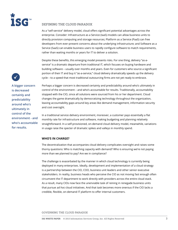

#### **DEFINING THE CLOUD PARADOX**

As a "self-service" delivery model, cloud offers significant potential advantages across the enterprise. Consider: Infrastructure as a Service (IaaS) models can allow business units to directly provision computing and storage resources; Platform as a Service (PaaS) can free developers from ever-present concerns about the underlying infrastructure; and Software as a Service (SaaS) can enable business users to rapidly configure software to match requirements, rather than waiting months or years for IT to deliver a solution.

Despite these benefits, this emerging model presents risks. For one thing, delivery "as-aservice" is a dramatic departure from traditional IT, which focuses on buying hardware and building software – usually over months and years. Even for customers who source a significant portion of their IT and buy it "as-a-service," cloud delivery dramatically speeds up the delivery cycle – to a speed that most traditional outsourcing firms are not yet ready to embrace.

**A bigger concern is decreased certainly and predictability around who's ultimately in control of the environment - and who's accountable for results.**

Perhaps a bigger concern is decreased certainty and predictability around who's ultimately in control of the environment – and who's accountable for results. Traditionally, accountability stopped with the CIO, since all solutions were sourced from his or her department. Cloud changes the game dramatically by democratizing technology throughout the organization, leaving accountability gaps around key areas like demand management, information security and cost oversight.

In a traditional service delivery environment, moreover, a customer pays essentially a flat monthly rate for infrastructure and software, making budgeting and planning relatively straightforward. In a self-provisioned, on-demand cloud delivery model, meanwhile, variations in usage raise the specter of dramatic spikes and valleys in monthly spend.

#### **WHO'S IN CHARGE?**

The decentralization that accompanies cloud delivery complicates oversight and raises some thorny questions: Who is matching capacity with demand? Who is ensuring we're not paying more than we planned to pay? Are we in compliance?

The challenge is exacerbated by the manner in which cloud technology is currently being deployed in many enterprises. Ideally, development and implementation of a cloud strategy is a partnership between the CIO, COO, business unit leaders and other senior executive stakeholders. In reality, business heads who perceive the CIO as not moving fast enough often circumvent the IT department to work directly with providers across the entire cloud stack. As a result, many CIOs now face the unenviable task of reining in renegade business units that pursue ad hoc cloud initiatives. And that task becomes more onerous if the CIO lacks a credible, flexible, on-demand IT platform to offer internal customers.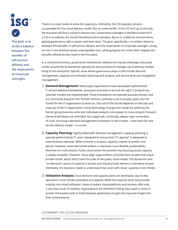

**The goal, is to strike a balance between the benefits of self-service delivery and the imperatives of corporate oversight.**

There's no silver bullet to solve this quandary. Ultimately, the CIO typically remains accountable for the cloud delivery model. But as noted earlier, if the CIO isn't up to the task, the business will find a solution without him. Governance oversight is therefore essential if a CIO is to address the cloud's flexibility/control paradox. But as in traditional environments, getting governance right is easier said than done. The goal, specifically, is to strike a balance between the benefits of self-service delivery and the imperatives of corporate oversight. Going too far in one direction poses unacceptable risks, while going too far in the other negates the benefits offered by the cloud in the first place.

In a cloud environment, governance mechanisms address the myriad challenges discussed earlier around the fundamental operational and architecture changes cloud delivery models bring to the enterprise. Specific areas where governance plays a role include demand management, capacity and utilization planning and analysis, and service level and chargeback management.

- **1. Demand Management:** Many large organizations have developed sophisticated IT service delivery frameworks, processes and tools to ensure the right IT projects are selected, funded and implemented. These frameworks are typically business-driven, and are commonly based on the "funnel" premise, whereby a set of projects goes into the funnel for the IT organization to work on. The size of the funnel depends on the size and maturity of the IT organization. Cloud technology changes this model by widening the funnel, giving business units and individual analysts more power to move projects forward. Demand will always be unlimited, but supply will, conversely, always have constraints. As such, ensuring a demand management framework is still in place – even with the new service delivery model – is crucial.
- **2. Capacity Planning:** Tightly linked with demand management, capacity planning is typically performed by IT, and is designed to ensure that "IT capacity" is adequate to meet business demand. When a funnel is in place, capacity is easier to predict and secure. However, when the funnel widens or becomes more flexible, predictability becomes far more elusive. Public cloud solves this problem by ensuring excess capacity is always available. However, many large organizations currently favor private and virtual private clouds, which don't have the scale of the public cloud model. The dynamism and "on-demand" nature of capacity in private and virtual private delivery is therefore limited. Ultimately, the business needs to understand that, even with cloud, capacity is not infinite.
- **3. Utilization Analysis:** Once demand and capacity plans are developed, day-to-day operations must remain consistent and aligned. While this requires tools that provide visibility into cloud utilization, many of today's cloud platforms and services offer only a very basic level of visibility. Organizations are therefore finding they need to invest in smaller third-party tools or build bespoke applications to gain the required insight into their environments.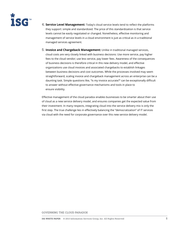

**4. Service Level Management:** Today's cloud service levels tend to reflect the platforms they support: simple and standardized. The price of this standardization is that service levels cannot be easily negotiated or changed. Nonetheless, effective monitoring and management of service levels in a cloud environment is just as critical as in a traditional managed services agreement.

**5. Invoice and Chargeback Management:** Unlike in traditional managed services, cloud costs are very closely linked with business decisions: Use more service, pay higher fees to the cloud vendor; use less service, pay lower fees. Awareness of the consequences of business decisions is therefore critical in this new delivery model, and effective organizations use cloud invoices and associated chargebacks to establish linkages between business decisions and cost outcomes. While the processes involved may seem straightforward, scaling invoice and chargeback management across an enterprise can be a daunting task. Simple questions like, "Is my invoice accurate?" can be exceptionally difficult to answer without effective governance mechanisms and tools in place to ensure visibility.

Effective management of the cloud paradox enables businesses to be smarter about their use of cloud as a new service delivery model, and ensures companies get the expected value from their investment. In many respects, integrating cloud into the service delivery mix is only the first step. The true challenge lies in effectively balancing the "democratization" of IT services via cloud with the need for corporate governance over this new service delivery model.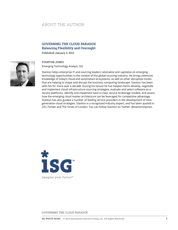## ABOUT THE AUTHOR

#### **GOVERNING THE CLOUD PARADOX Balancing Flexibility and Oversight**

**Published January 3, 2013**



#### **STANTON JONES**

Emerging Technology Analyst, ISG

Stanton helps enterprise IT and sourcing leaders rationalize and capitalize on emerging technology opportunities in the context of the global sourcing industry. He brings extensive knowledge of today's cloud and automation ecosystems, as well as other disruptive trends that are helping to shape and disrupt the business computing landscape. Stanton has been with ISG for more over a decade. During his tenure he has helped clients develop, negotiate and implement cloud infrastructure sourcing strategies, evaluate and select software-as-aservice platforms, identify and implement best-in-class service brokerage models, and assess how the emerging cloud master architecture can be leveraged for competitive advantage. Stanton has also guided a number of leading service providers in the development of nextgeneration cloud strategies. Stanton is a recognized industry expert, and has been quoted in CIO, Forbes and The Times of London. You can follow Stanton on Twitter: @stantonmjones.